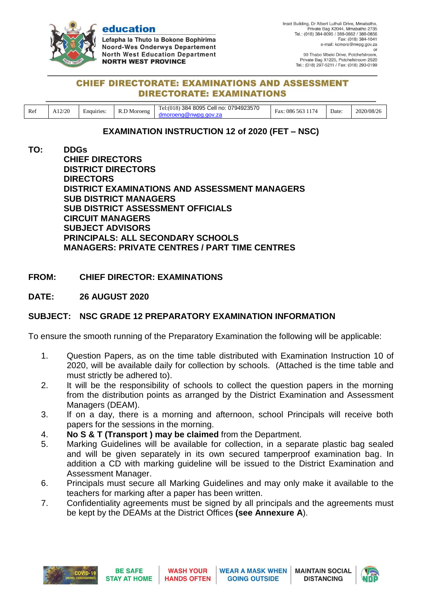

education

Lefapha la Thuto la Bokone Bophirima **Noord-Wes Onderwys Departement North West Education Department NORTH WEST PROVINCE** 

90 Thabo Mbeki Drive, Potchefstroom, Private Bag X1225, Potchefstroom 2520<br>Tel.: (018) 297-5211 / Fax: (018) 293-0199

## **CHIEF DIRECTORATE: EXAMINATIONS AND ASSESSMENT DIRECTORATE: EXAMINATIONS**

| Ref | A12/20 | Enquiries: | D <sub>M</sub><br>Moroeng | 8095<br>0794923570<br>$\sim$ $\blacksquare$<br>-384<br>. Cell no:<br>.el:018 | -<br>1.17<br>-086<br>Fax.<br>563 | Date: | 2020/08/26 |
|-----|--------|------------|---------------------------|------------------------------------------------------------------------------|----------------------------------|-------|------------|

# **EXAMINATION INSTRUCTION 12 of 2020 (FET – NSC)**

**TO: DDGs CHIEF DIRECTORS DISTRICT DIRECTORS DIRECTORS DISTRICT EXAMINATIONS AND ASSESSMENT MANAGERS SUB DISTRICT MANAGERS SUB DISTRICT ASSESSMENT OFFICIALS CIRCUIT MANAGERS SUBJECT ADVISORS PRINCIPALS: ALL SECONDARY SCHOOLS MANAGERS: PRIVATE CENTRES / PART TIME CENTRES**

## **FROM: CHIEF DIRECTOR: EXAMINATIONS**

**DATE: 26 AUGUST 2020**

# **SUBJECT: NSC GRADE 12 PREPARATORY EXAMINATION INFORMATION**

To ensure the smooth running of the Preparatory Examination the following will be applicable:

- 1. Question Papers, as on the time table distributed with Examination Instruction 10 of 2020, will be available daily for collection by schools. (Attached is the time table and must strictly be adhered to).
- 2. It will be the responsibility of schools to collect the question papers in the morning from the distribution points as arranged by the District Examination and Assessment Managers (DEAM).
- 3. If on a day, there is a morning and afternoon, school Principals will receive both papers for the sessions in the morning.
- 4. **No S & T (Transport ) may be claimed** from the Department.
- 5. Marking Guidelines will be available for collection, in a separate plastic bag sealed and will be given separately in its own secured tamperproof examination bag. In addition a CD with marking guideline will be issued to the District Examination and Assessment Manager.
- 6. Principals must secure all Marking Guidelines and may only make it available to the teachers for marking after a paper has been written.
- 7. Confidentiality agreements must be signed by all principals and the agreements must be kept by the DEAMs at the District Offices **(see Annexure A**).



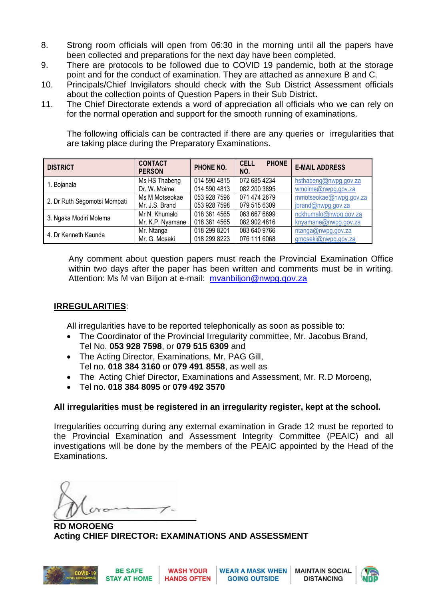- 8. Strong room officials will open from 06:30 in the morning until all the papers have been collected and preparations for the next day have been completed.
- 9. There are protocols to be followed due to COVID 19 pandemic, both at the storage point and for the conduct of examination. They are attached as annexure B and C.
- 10. Principals/Chief Invigilators should check with the Sub District Assessment officials about the collection points of Question Papers in their Sub District**.**
- 11. The Chief Directorate extends a word of appreciation all officials who we can rely on for the normal operation and support for the smooth running of examinations.

The following officials can be contracted if there are any queries or irregularities that are taking place during the Preparatory Examinations.

| <b>DISTRICT</b>              | <b>CONTACT</b><br><b>PERSON</b> | PHONE NO.    | <b>CELL</b><br><b>PHONE</b><br>NO. | <b>E-MAIL ADDRESS</b>  |
|------------------------------|---------------------------------|--------------|------------------------------------|------------------------|
| 1. Bojanala                  | Ms HS Thabeng                   | 014 590 4815 | 072 685 4234                       | hsthabeng@nwpg.gov.za  |
|                              | Dr. W. Moime                    | 014 590 4813 | 082 200 3895                       | wmoime@nwpg.gov.za     |
| 2. Dr Ruth Segomotsi Mompati | Ms M Motseokae                  | 053 928 7596 | 071 474 2679                       | mmotseokae@nwpg.gov.za |
|                              | Mr. J.S. Brand                  | 053 928 7598 | 079 515 6309                       | jbrand@nwpg.gov.za     |
| 3. Ngaka Modiri Molema       | Mr N. Khumalo                   | 018 381 4565 | 063 667 6699                       | nckhumalo@nwpg.gov.za  |
|                              | Mr. K.P. Nyamane                | 018 381 4565 | 082 902 4816                       | knyamane@nwpg.gov.za   |
| 4. Dr Kenneth Kaunda         | Mr. Ntanga                      | 018 299 8201 | 083 640 9766                       | ntanga@nwpg.gov.za     |
|                              | Mr. G. Moseki                   | 018 299 8223 | 076 111 6068                       | gmoseki@nwpg.gov.za    |

Any comment about question papers must reach the Provincial Examination Office within two days after the paper has been written and comments must be in writing. Attention: Ms M van Biljon at e-mail: myanbiljon@nwpg.gov.za

# **IRREGULARITIES**:

All irregularities have to be reported telephonically as soon as possible to:

- The Coordinator of the Provincial Irregularity committee, Mr. Jacobus Brand, Tel No. **053 928 7598**, or **079 515 6309** and
- The Acting Director, Examinations, Mr. PAG Gill, Tel no. **018 384 3160** or **079 491 8558**, as well as
- The Acting Chief Director, Examinations and Assessment, Mr. R.D Moroeng,
- Tel no. **018 384 8095** or **079 492 3570**

# **All irregularities must be registered in an irregularity register, kept at the school.**

Irregularities occurring during any external examination in Grade 12 must be reported to the Provincial Examination and Assessment Integrity Committee (PEAIC) and all investigations will be done by the members of the PEAIC appointed by the Head of the Examinations.

 $\overline{\mathcal{L}}$ 

**RD MOROENG Acting CHIEF DIRECTOR: EXAMINATIONS AND ASSESSMENT**



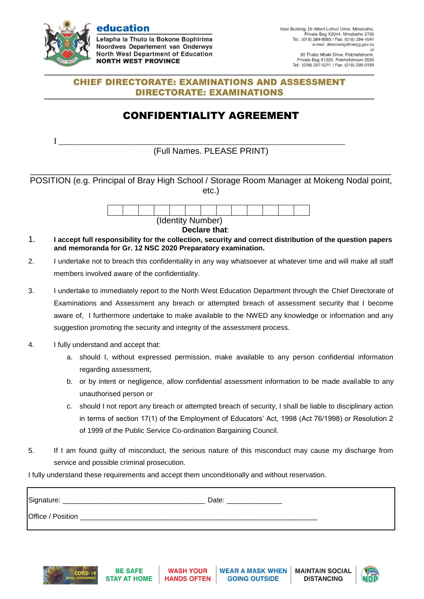

education

Lefapha la Thuto la Bokone Bophirima Noordwes Departement van Onderwys **North West Department of Education NORTH WEST PROVINCE** 

### **CHIEF DIRECTORATE: EXAMINATIONS AND ASSESSMENT DIRECTORATE: EXAMINATIONS**

# CONFIDENTIALITY AGREEMENT

I \_\_\_\_\_\_\_\_\_\_\_\_\_\_\_\_\_\_\_\_\_\_\_\_\_\_\_\_\_\_\_\_\_\_\_\_\_\_\_\_\_\_\_\_\_\_\_\_\_\_\_\_\_\_\_\_\_\_\_\_\_\_\_\_\_\_\_ (Full Names. PLEASE PRINT)

\_\_\_\_\_\_\_\_\_\_\_\_\_\_\_\_\_\_\_\_\_\_\_\_\_\_\_\_\_\_\_\_\_\_\_\_\_\_\_\_\_\_\_\_\_\_\_\_\_\_\_\_\_\_\_\_\_\_\_\_\_\_\_\_\_\_\_\_\_\_\_\_\_\_\_\_ POSITION (e.g. Principal of Bray High School / Storage Room Manager at Mokeng Nodal point, etc.)



**Declare that**:

- 1. **I accept full responsibility for the collection, security and correct distribution of the question papers and memoranda for Gr. 12 NSC 2020 Preparatory examination.**
- 2. I undertake not to breach this confidentiality in any way whatsoever at whatever time and will make all staff members involved aware of the confidentiality.
- 3. I undertake to immediately report to the North West Education Department through the Chief Directorate of Examinations and Assessment any breach or attempted breach of assessment security that I become aware of, I furthermore undertake to make available to the NWED any knowledge or information and any suggestion promoting the security and integrity of the assessment process.
- 4. I fully understand and accept that:
	- a. should I, without expressed permission, make available to any person confidential information regarding assessment,
	- b. or by intent or negligence, allow confidential assessment information to be made available to any unauthorised person or
	- c. should I not report any breach or attempted breach of security, I shall be liable to disciplinary action in terms of section 17(1) of the Employment of Educators' Act, 1998 (Act 76/1998) or Resolution 2 of 1999 of the Public Service Co-ordination Bargaining Council.
- 5. If I am found guilty of misconduct, the serious nature of this misconduct may cause my discharge from service and possible criminal prosecution.

I fully understand these requirements and accept them unconditionally and without reservation.

| Signature:        | Date: |
|-------------------|-------|
| Office / Position |       |